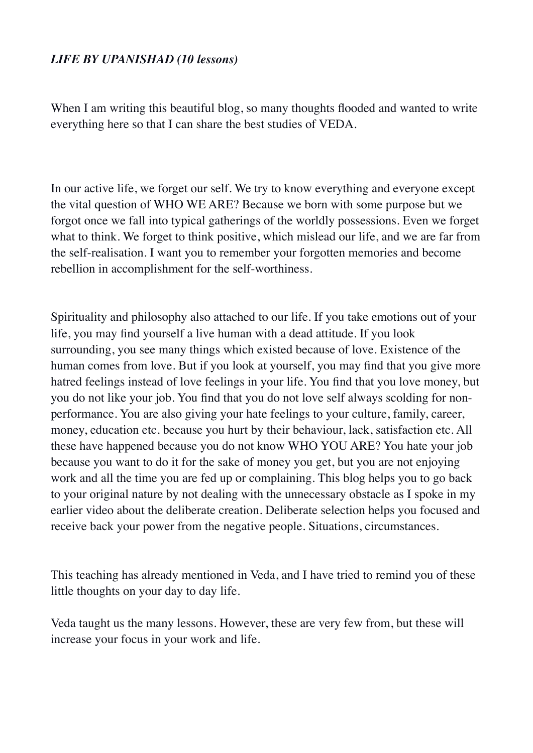### *LIFE BY UPANISHAD (10 lessons)*

When I am writing this beautiful blog, so many thoughts flooded and wanted to write everything here so that I can share the best studies of VEDA.

In our active life, we forget our self. We try to know everything and everyone except the vital question of WHO WE ARE? Because we born with some purpose but we forgot once we fall into typical gatherings of the worldly possessions. Even we forget what to think. We forget to think positive, which mislead our life, and we are far from the self-realisation. I want you to remember your forgotten memories and become rebellion in accomplishment for the self-worthiness.

Spirituality and philosophy also attached to our life. If you take emotions out of your life, you may find yourself a live human with a dead attitude. If you look surrounding, you see many things which existed because of love. Existence of the human comes from love. But if you look at yourself, you may find that you give more hatred feelings instead of love feelings in your life. You find that you love money, but you do not like your job. You find that you do not love self always scolding for nonperformance. You are also giving your hate feelings to your culture, family, career, money, education etc. because you hurt by their behaviour, lack, satisfaction etc. All these have happened because you do not know WHO YOU ARE? You hate your job because you want to do it for the sake of money you get, but you are not enjoying work and all the time you are fed up or complaining. This blog helps you to go back to your original nature by not dealing with the unnecessary obstacle as I spoke in my earlier video about the deliberate creation. Deliberate selection helps you focused and receive back your power from the negative people. Situations, circumstances.

This teaching has already mentioned in Veda, and I have tried to remind you of these little thoughts on your day to day life.

Veda taught us the many lessons. However, these are very few from, but these will increase your focus in your work and life.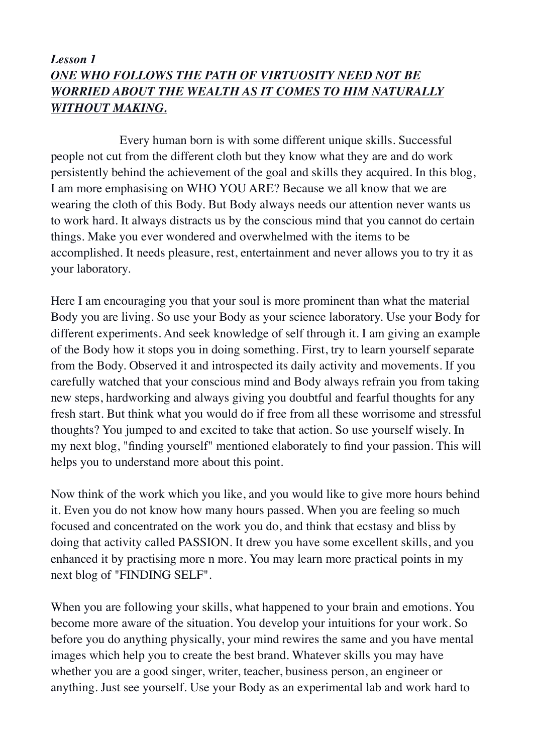## *Lesson 1 ONE WHO FOLLOWS THE PATH OF VIRTUOSITY NEED NOT BE WORRIED ABOUT THE WEALTH AS IT COMES TO HIM NATURALLY WITHOUT MAKING.*

 Every human born is with some different unique skills. Successful people not cut from the different cloth but they know what they are and do work persistently behind the achievement of the goal and skills they acquired. In this blog, I am more emphasising on WHO YOU ARE? Because we all know that we are wearing the cloth of this Body. But Body always needs our attention never wants us to work hard. It always distracts us by the conscious mind that you cannot do certain things. Make you ever wondered and overwhelmed with the items to be accomplished. It needs pleasure, rest, entertainment and never allows you to try it as your laboratory.

Here I am encouraging you that your soul is more prominent than what the material Body you are living. So use your Body as your science laboratory. Use your Body for different experiments. And seek knowledge of self through it. I am giving an example of the Body how it stops you in doing something. First, try to learn yourself separate from the Body. Observed it and introspected its daily activity and movements. If you carefully watched that your conscious mind and Body always refrain you from taking new steps, hardworking and always giving you doubtful and fearful thoughts for any fresh start. But think what you would do if free from all these worrisome and stressful thoughts? You jumped to and excited to take that action. So use yourself wisely. In my next blog, "finding yourself" mentioned elaborately to find your passion. This will helps you to understand more about this point.

Now think of the work which you like, and you would like to give more hours behind it. Even you do not know how many hours passed. When you are feeling so much focused and concentrated on the work you do, and think that ecstasy and bliss by doing that activity called PASSION. It drew you have some excellent skills, and you enhanced it by practising more n more. You may learn more practical points in my next blog of "FINDING SELF".

When you are following your skills, what happened to your brain and emotions. You become more aware of the situation. You develop your intuitions for your work. So before you do anything physically, your mind rewires the same and you have mental images which help you to create the best brand. Whatever skills you may have whether you are a good singer, writer, teacher, business person, an engineer or anything. Just see yourself. Use your Body as an experimental lab and work hard to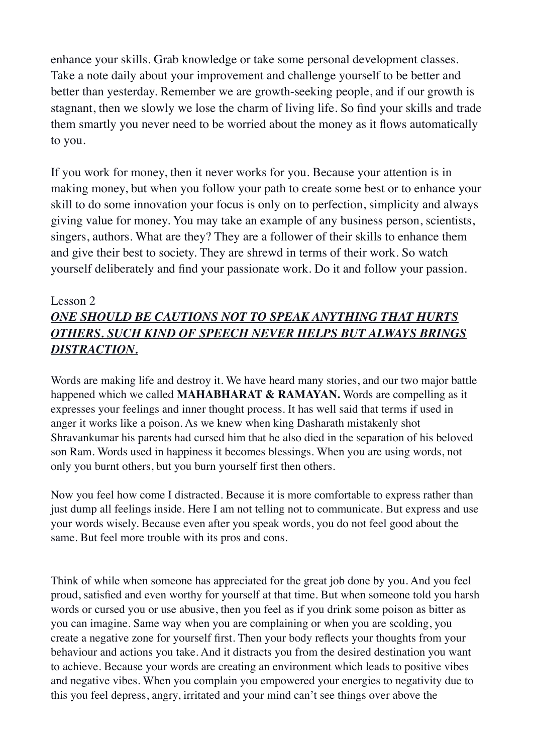enhance your skills. Grab knowledge or take some personal development classes. Take a note daily about your improvement and challenge yourself to be better and better than yesterday. Remember we are growth-seeking people, and if our growth is stagnant, then we slowly we lose the charm of living life. So find your skills and trade them smartly you never need to be worried about the money as it flows automatically to you.

If you work for money, then it never works for you. Because your attention is in making money, but when you follow your path to create some best or to enhance your skill to do some innovation your focus is only on to perfection, simplicity and always giving value for money. You may take an example of any business person, scientists, singers, authors. What are they? They are a follower of their skills to enhance them and give their best to society. They are shrewd in terms of their work. So watch yourself deliberately and find your passionate work. Do it and follow your passion.

#### Lesson 2

# *ONE SHOULD BE CAUTIONS NOT TO SPEAK ANYTHING THAT HURTS OTHERS. SUCH KIND OF SPEECH NEVER HELPS BUT ALWAYS BRINGS DISTRACTION.*

Words are making life and destroy it. We have heard many stories, and our two major battle happened which we called **MAHABHARAT & RAMAYAN.** Words are compelling as it expresses your feelings and inner thought process. It has well said that terms if used in anger it works like a poison. As we knew when king Dasharath mistakenly shot Shravankumar his parents had cursed him that he also died in the separation of his beloved son Ram. Words used in happiness it becomes blessings. When you are using words, not only you burnt others, but you burn yourself first then others.

Now you feel how come I distracted. Because it is more comfortable to express rather than just dump all feelings inside. Here I am not telling not to communicate. But express and use your words wisely. Because even after you speak words, you do not feel good about the same. But feel more trouble with its pros and cons.

Think of while when someone has appreciated for the great job done by you. And you feel proud, satisfied and even worthy for yourself at that time. But when someone told you harsh words or cursed you or use abusive, then you feel as if you drink some poison as bitter as you can imagine. Same way when you are complaining or when you are scolding, you create a negative zone for yourself first. Then your body reflects your thoughts from your behaviour and actions you take. And it distracts you from the desired destination you want to achieve. Because your words are creating an environment which leads to positive vibes and negative vibes. When you complain you empowered your energies to negativity due to this you feel depress, angry, irritated and your mind can't see things over above the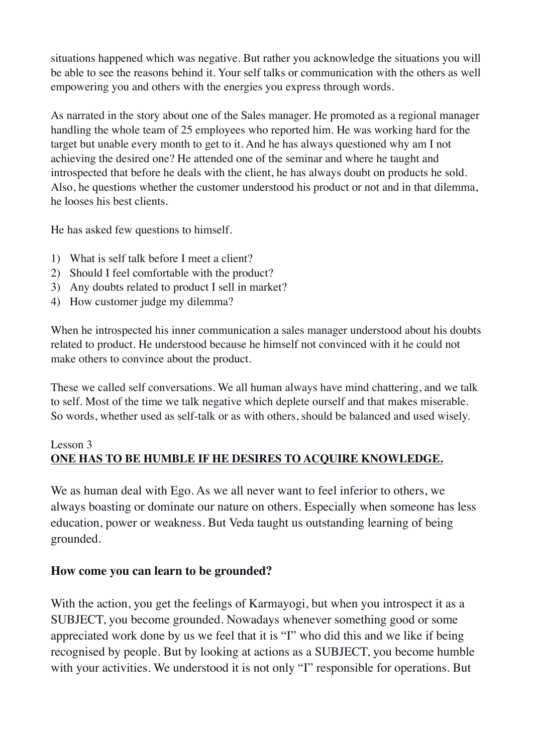situations happened which was negative. But rather you acknowledge the situations you will be able to see the reasons behind it. Your self talks or communication with the others as well empowering you and others with the energies you express through words.

As narrated in the story about one of the Sales manager. He promoted as a regional manager handling the whole team of 25 employees who reported him. He was working hard for the target but unable every month to get to it. And he has always questioned why am I not achieving the desired one? He attended one of the seminar and where he taught and introspected that before he deals with the client, he has always doubt on products he sold. Also, he questions whether the customer understood his product or not and in that dilemma, he looses his best clients.

He has asked few questions to himself.

- 1) What is self talk before I meet a client?
- 2) Should I feel comfortable with the product?
- 3) Any doubts related to product I sell in market?
- 4) How customer judge my dilemma?

When he introspected his inner communication a sales manager understood about his doubts related to product. He understood because he himself not convinced with it he could not make others to convince about the product.

These we called self conversations. We all human always have mind chattering, and we talk to self. Most of the time we talk negative which deplete ourself and that makes miserable. So words, whether used as self-talk or as with others, should be balanced and used wisely.

### Lesson 3 **ONE HAS TO BE HUMBLE IF HE DESIRES TO ACQUIRE KNOWLEDGE.**

We as human deal with Ego. As we all never want to feel inferior to others, we always boasting or dominate our nature on others. Especially when someone has less education, power or weakness. But Veda taught us outstanding learning of being grounded.

#### **How come you can learn to be grounded?**

With the action, you get the feelings of Karmayogi, but when you introspect it as a SUBJECT, you become grounded. Nowadays whenever something good or some appreciated work done by us we feel that it is "I" who did this and we like if being recognised by people. But by looking at actions as a SUBJECT, you become humble with your activities. We understood it is not only "I" responsible for operations. But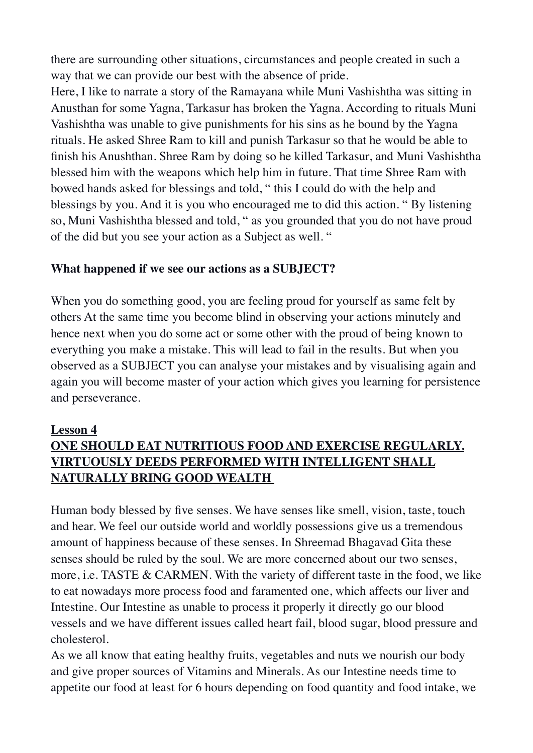there are surrounding other situations, circumstances and people created in such a way that we can provide our best with the absence of pride.

Here, I like to narrate a story of the Ramayana while Muni Vashishtha was sitting in Anusthan for some Yagna, Tarkasur has broken the Yagna. According to rituals Muni Vashishtha was unable to give punishments for his sins as he bound by the Yagna rituals. He asked Shree Ram to kill and punish Tarkasur so that he would be able to finish his Anushthan. Shree Ram by doing so he killed Tarkasur, and Muni Vashishtha blessed him with the weapons which help him in future. That time Shree Ram with bowed hands asked for blessings and told, " this I could do with the help and blessings by you. And it is you who encouraged me to did this action. " By listening so, Muni Vashishtha blessed and told, " as you grounded that you do not have proud of the did but you see your action as a Subject as well. "

### **What happened if we see our actions as a SUBJECT?**

When you do something good, you are feeling proud for yourself as same felt by others At the same time you become blind in observing your actions minutely and hence next when you do some act or some other with the proud of being known to everything you make a mistake. This will lead to fail in the results. But when you observed as a SUBJECT you can analyse your mistakes and by visualising again and again you will become master of your action which gives you learning for persistence and perseverance.

#### **Lesson 4**

# **ONE SHOULD EAT NUTRITIOUS FOOD AND EXERCISE REGULARLY. VIRTUOUSLY DEEDS PERFORMED WITH INTELLIGENT SHALL NATURALLY BRING GOOD WEALTH**

Human body blessed by five senses. We have senses like smell, vision, taste, touch and hear. We feel our outside world and worldly possessions give us a tremendous amount of happiness because of these senses. In Shreemad Bhagavad Gita these senses should be ruled by the soul. We are more concerned about our two senses, more, i.e. TASTE & CARMEN. With the variety of different taste in the food, we like to eat nowadays more process food and faramented one, which affects our liver and Intestine. Our Intestine as unable to process it properly it directly go our blood vessels and we have different issues called heart fail, blood sugar, blood pressure and cholesterol.

As we all know that eating healthy fruits, vegetables and nuts we nourish our body and give proper sources of Vitamins and Minerals. As our Intestine needs time to appetite our food at least for 6 hours depending on food quantity and food intake, we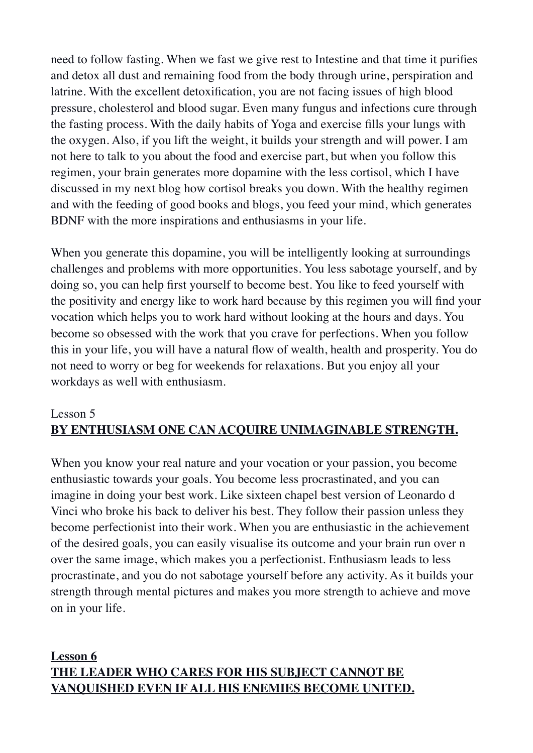need to follow fasting. When we fast we give rest to Intestine and that time it purifies and detox all dust and remaining food from the body through urine, perspiration and latrine. With the excellent detoxification, you are not facing issues of high blood pressure, cholesterol and blood sugar. Even many fungus and infections cure through the fasting process. With the daily habits of Yoga and exercise fills your lungs with the oxygen. Also, if you lift the weight, it builds your strength and will power. I am not here to talk to you about the food and exercise part, but when you follow this regimen, your brain generates more dopamine with the less cortisol, which I have discussed in my next blog how cortisol breaks you down. With the healthy regimen and with the feeding of good books and blogs, you feed your mind, which generates BDNF with the more inspirations and enthusiasms in your life.

When you generate this dopamine, you will be intelligently looking at surroundings challenges and problems with more opportunities. You less sabotage yourself, and by doing so, you can help first yourself to become best. You like to feed yourself with the positivity and energy like to work hard because by this regimen you will find your vocation which helps you to work hard without looking at the hours and days. You become so obsessed with the work that you crave for perfections. When you follow this in your life, you will have a natural flow of wealth, health and prosperity. You do not need to worry or beg for weekends for relaxations. But you enjoy all your workdays as well with enthusiasm.

## Lesson 5 **BY ENTHUSIASM ONE CAN ACQUIRE UNIMAGINABLE STRENGTH.**

When you know your real nature and your vocation or your passion, you become enthusiastic towards your goals. You become less procrastinated, and you can imagine in doing your best work. Like sixteen chapel best version of Leonardo d Vinci who broke his back to deliver his best. They follow their passion unless they become perfectionist into their work. When you are enthusiastic in the achievement of the desired goals, you can easily visualise its outcome and your brain run over n over the same image, which makes you a perfectionist. Enthusiasm leads to less procrastinate, and you do not sabotage yourself before any activity. As it builds your strength through mental pictures and makes you more strength to achieve and move on in your life.

## **Lesson 6 THE LEADER WHO CARES FOR HIS SUBJECT CANNOT BE VANQUISHED EVEN IF ALL HIS ENEMIES BECOME UNITED.**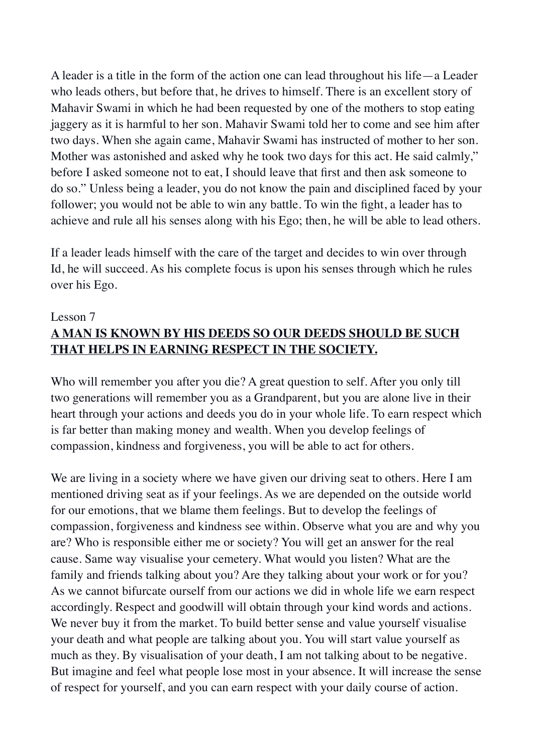A leader is a title in the form of the action one can lead throughout his life—a Leader who leads others, but before that, he drives to himself. There is an excellent story of Mahavir Swami in which he had been requested by one of the mothers to stop eating jaggery as it is harmful to her son. Mahavir Swami told her to come and see him after two days. When she again came, Mahavir Swami has instructed of mother to her son. Mother was astonished and asked why he took two days for this act. He said calmly," before I asked someone not to eat, I should leave that first and then ask someone to do so." Unless being a leader, you do not know the pain and disciplined faced by your follower; you would not be able to win any battle. To win the fight, a leader has to achieve and rule all his senses along with his Ego; then, he will be able to lead others.

If a leader leads himself with the care of the target and decides to win over through Id, he will succeed. As his complete focus is upon his senses through which he rules over his Ego.

## Lesson 7 **A MAN IS KNOWN BY HIS DEEDS SO OUR DEEDS SHOULD BE SUCH THAT HELPS IN EARNING RESPECT IN THE SOCIETY.**

Who will remember you after you die? A great question to self. After you only till two generations will remember you as a Grandparent, but you are alone live in their heart through your actions and deeds you do in your whole life. To earn respect which is far better than making money and wealth. When you develop feelings of compassion, kindness and forgiveness, you will be able to act for others.

We are living in a society where we have given our driving seat to others. Here I am mentioned driving seat as if your feelings. As we are depended on the outside world for our emotions, that we blame them feelings. But to develop the feelings of compassion, forgiveness and kindness see within. Observe what you are and why you are? Who is responsible either me or society? You will get an answer for the real cause. Same way visualise your cemetery. What would you listen? What are the family and friends talking about you? Are they talking about your work or for you? As we cannot bifurcate ourself from our actions we did in whole life we earn respect accordingly. Respect and goodwill will obtain through your kind words and actions. We never buy it from the market. To build better sense and value yourself visualise your death and what people are talking about you. You will start value yourself as much as they. By visualisation of your death, I am not talking about to be negative. But imagine and feel what people lose most in your absence. It will increase the sense of respect for yourself, and you can earn respect with your daily course of action.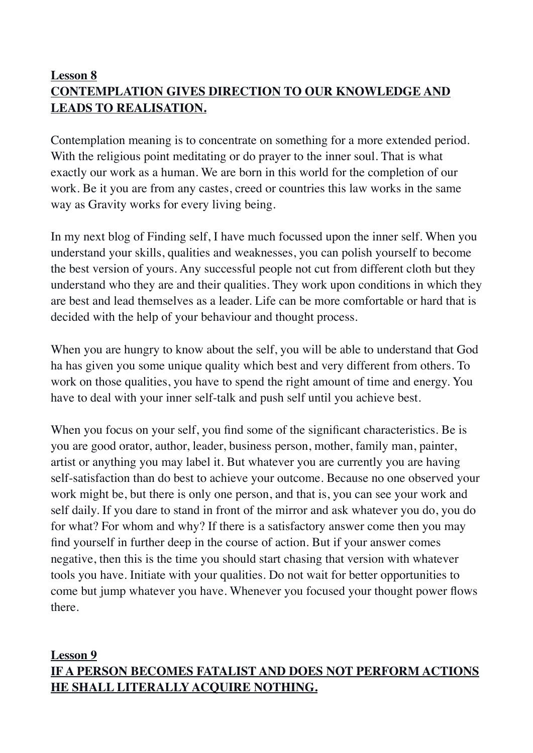# **Lesson 8 CONTEMPLATION GIVES DIRECTION TO OUR KNOWLEDGE AND LEADS TO REALISATION.**

Contemplation meaning is to concentrate on something for a more extended period. With the religious point meditating or do prayer to the inner soul. That is what exactly our work as a human. We are born in this world for the completion of our work. Be it you are from any castes, creed or countries this law works in the same way as Gravity works for every living being.

In my next blog of Finding self, I have much focussed upon the inner self. When you understand your skills, qualities and weaknesses, you can polish yourself to become the best version of yours. Any successful people not cut from different cloth but they understand who they are and their qualities. They work upon conditions in which they are best and lead themselves as a leader. Life can be more comfortable or hard that is decided with the help of your behaviour and thought process.

When you are hungry to know about the self, you will be able to understand that God ha has given you some unique quality which best and very different from others. To work on those qualities, you have to spend the right amount of time and energy. You have to deal with your inner self-talk and push self until you achieve best.

When you focus on your self, you find some of the significant characteristics. Be is you are good orator, author, leader, business person, mother, family man, painter, artist or anything you may label it. But whatever you are currently you are having self-satisfaction than do best to achieve your outcome. Because no one observed your work might be, but there is only one person, and that is, you can see your work and self daily. If you dare to stand in front of the mirror and ask whatever you do, you do for what? For whom and why? If there is a satisfactory answer come then you may find yourself in further deep in the course of action. But if your answer comes negative, then this is the time you should start chasing that version with whatever tools you have. Initiate with your qualities. Do not wait for better opportunities to come but jump whatever you have. Whenever you focused your thought power flows there.

## **Lesson 9 IF A PERSON BECOMES FATALIST AND DOES NOT PERFORM ACTIONS HE SHALL LITERALLY ACQUIRE NOTHING.**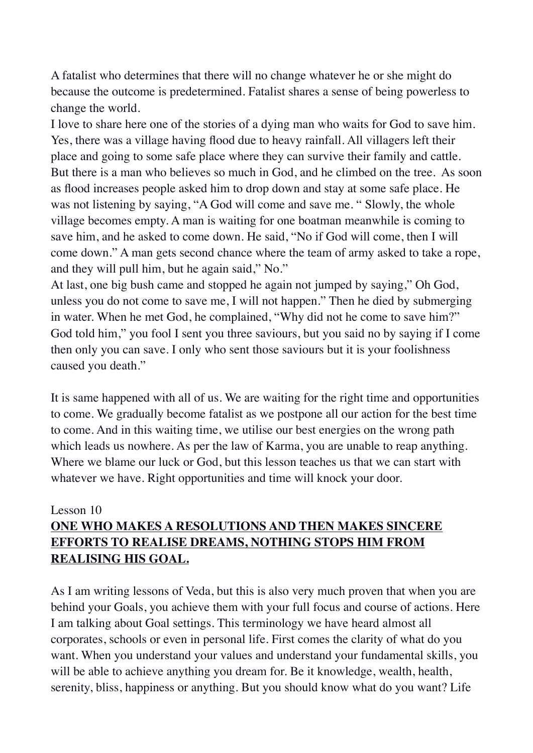A fatalist who determines that there will no change whatever he or she might do because the outcome is predetermined. Fatalist shares a sense of being powerless to change the world.

I love to share here one of the stories of a dying man who waits for God to save him. Yes, there was a village having flood due to heavy rainfall. All villagers left their place and going to some safe place where they can survive their family and cattle. But there is a man who believes so much in God, and he climbed on the tree. As soon as flood increases people asked him to drop down and stay at some safe place. He was not listening by saying, "A God will come and save me. " Slowly, the whole village becomes empty. A man is waiting for one boatman meanwhile is coming to save him, and he asked to come down. He said, "No if God will come, then I will come down." A man gets second chance where the team of army asked to take a rope, and they will pull him, but he again said," No."

At last, one big bush came and stopped he again not jumped by saying," Oh God, unless you do not come to save me, I will not happen." Then he died by submerging in water. When he met God, he complained, "Why did not he come to save him?" God told him," you fool I sent you three saviours, but you said no by saying if I come then only you can save. I only who sent those saviours but it is your foolishness caused you death."

It is same happened with all of us. We are waiting for the right time and opportunities to come. We gradually become fatalist as we postpone all our action for the best time to come. And in this waiting time, we utilise our best energies on the wrong path which leads us nowhere. As per the law of Karma, you are unable to reap anything. Where we blame our luck or God, but this lesson teaches us that we can start with whatever we have. Right opportunities and time will knock your door.

# Lesson 10 **ONE WHO MAKES A RESOLUTIONS AND THEN MAKES SINCERE EFFORTS TO REALISE DREAMS, NOTHING STOPS HIM FROM REALISING HIS GOAL.**

As I am writing lessons of Veda, but this is also very much proven that when you are behind your Goals, you achieve them with your full focus and course of actions. Here I am talking about Goal settings. This terminology we have heard almost all corporates, schools or even in personal life. First comes the clarity of what do you want. When you understand your values and understand your fundamental skills, you will be able to achieve anything you dream for. Be it knowledge, wealth, health, serenity, bliss, happiness or anything. But you should know what do you want? Life